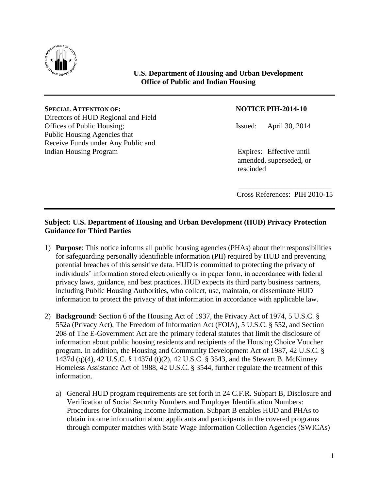

## **U.S. Department of Housing and Urban Development Office of Public and Indian Housing**

## **SPECIAL ATTENTION OF: NOTICE PIH-2014-10**

Directors of HUD Regional and Field Offices of Public Housing; Issued: April 30, 2014 Public Housing Agencies that Receive Funds under Any Public and Indian Housing Program Expires: Effective until

amended, superseded, or rescinded

\_\_\_\_\_\_\_\_\_\_\_\_\_\_\_\_\_\_\_\_\_\_\_\_\_ Cross References: PIH 2010-15

## **Subject: U.S. Department of Housing and Urban Development (HUD) Privacy Protection Guidance for Third Parties**

- 1) **Purpose**: This notice informs all public housing agencies (PHAs) about their responsibilities for safeguarding personally identifiable information (PII) required by HUD and preventing potential breaches of this sensitive data. HUD is committed to protecting the privacy of individuals' information stored electronically or in paper form, in accordance with federal privacy laws, guidance, and best practices. HUD expects its third party business partners, including Public Housing Authorities, who collect, use, maintain, or disseminate HUD information to protect the privacy of that information in accordance with applicable law.
- 2) **Background**: Section 6 of the Housing Act of 1937, the Privacy Act of 1974, 5 U.S.C. § 552a (Privacy Act), The Freedom of Information Act (FOIA), 5 U.S.C. § 552, and Section 208 of The E-Government Act are the primary federal statutes that limit the disclosure of information about public housing residents and recipients of the Housing Choice Voucher program. In addition, the Housing and Community Development Act of 1987, 42 U.S.C. § 1437d (q)(4), 42 U.S.C. § 1437d (t)(2), 42 U.S.C. § 3543, and the Stewart B. McKinney Homeless Assistance Act of 1988, 42 U.S.C. § 3544, further regulate the treatment of this information.
	- a) General HUD program requirements are set forth in 24 C.F.R. Subpart B, Disclosure and Verification of Social Security Numbers and Employer Identification Numbers: Procedures for Obtaining Income Information. Subpart B enables HUD and PHAs to obtain income information about applicants and participants in the covered programs through computer matches with State Wage Information Collection Agencies (SWICAs)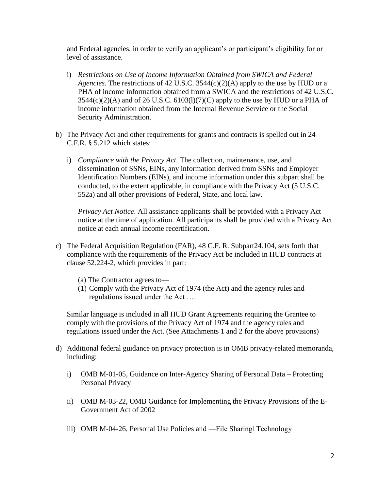and Federal agencies, in order to verify an applicant's or participant's eligibility for or level of assistance.

- i) *Restrictions on Use of Income Information Obtained from SWICA and Federal Agencies.* The restrictions of 42 U.S.C. 3544(c)(2)(A) apply to the use by HUD or a PHA of income information obtained from a SWICA and the restrictions of 42 U.S.C.  $3544(c)(2)(A)$  and of 26 U.S.C.  $6103(l)(7)(C)$  apply to the use by HUD or a PHA of income information obtained from the Internal Revenue Service or the Social Security Administration.
- b) The Privacy Act and other requirements for grants and contracts is spelled out in 24 C.F.R. § 5.212 which states:
	- i) *Compliance with the Privacy Act*. The collection, maintenance, use, and dissemination of SSNs, EINs, any information derived from SSNs and Employer Identification Numbers (EINs), and income information under this subpart shall be conducted, to the extent applicable, in compliance with the Privacy Act (5 U.S.C. 552a) and all other provisions of Federal, State, and local law.

*Privacy Act Notice*. All assistance applicants shall be provided with a Privacy Act notice at the time of application. All participants shall be provided with a Privacy Act notice at each annual income recertification.

- c) The Federal Acquisition Regulation (FAR), 48 C.F. R. Subpart24.104, sets forth that compliance with the requirements of the Privacy Act be included in HUD contracts at clause 52.224-2, which provides in part:
	- (a) The Contractor agrees to—
	- (1) Comply with the Privacy Act of 1974 (the Act) and the agency rules and regulations issued under the Act ….

Similar language is included in all HUD Grant Agreements requiring the Grantee to comply with the provisions of the Privacy Act of 1974 and the agency rules and regulations issued under the Act. (See Attachments 1 and 2 for the above provisions)

- d) Additional federal guidance on privacy protection is in OMB privacy-related memoranda, including:
	- i) OMB M-01-05, Guidance on Inter-Agency Sharing of Personal Data Protecting Personal Privacy
	- ii) OMB M-03-22, OMB Guidance for Implementing the Privacy Provisions of the E-Government Act of 2002
	- iii) OMB M-04-26, Personal Use Policies and —File Sharing Technology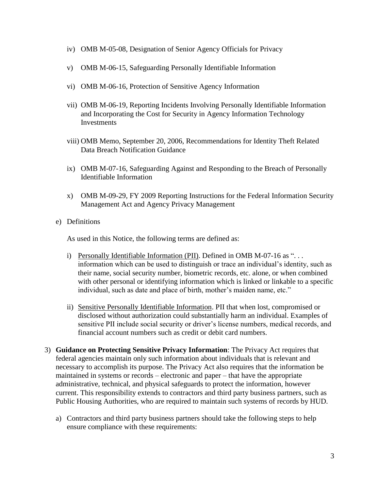- iv) OMB M-05-08, Designation of Senior Agency Officials for Privacy
- v) OMB M-06-15, Safeguarding Personally Identifiable Information
- vi) OMB M-06-16, Protection of Sensitive Agency Information
- vii) OMB M-06-19, Reporting Incidents Involving Personally Identifiable Information and Incorporating the Cost for Security in Agency Information Technology Investments
- viii) OMB Memo, September 20, 2006, Recommendations for Identity Theft Related Data Breach Notification Guidance
- ix) OMB M-07-16, Safeguarding Against and Responding to the Breach of Personally Identifiable Information
- x) OMB M-09-29, FY 2009 Reporting Instructions for the Federal Information Security Management Act and Agency Privacy Management
- e) Definitions

As used in this Notice, the following terms are defined as:

- i) Personally Identifiable Information (PII). Defined in OMB M-07-16 as "... information which can be used to distinguish or trace an individual's identity, such as their name, social security number, biometric records, etc. alone, or when combined with other personal or identifying information which is linked or linkable to a specific individual, such as date and place of birth, mother's maiden name, etc."
- ii) Sensitive Personally Identifiable Information. PII that when lost, compromised or disclosed without authorization could substantially harm an individual. Examples of sensitive PII include social security or driver's license numbers, medical records, and financial account numbers such as credit or debit card numbers.
- 3) **Guidance on Protecting Sensitive Privacy Information**: The Privacy Act requires that federal agencies maintain only such information about individuals that is relevant and necessary to accomplish its purpose. The Privacy Act also requires that the information be maintained in systems or records – electronic and paper – that have the appropriate administrative, technical, and physical safeguards to protect the information, however current. This responsibility extends to contractors and third party business partners, such as Public Housing Authorities, who are required to maintain such systems of records by HUD.
	- a) Contractors and third party business partners should take the following steps to help ensure compliance with these requirements: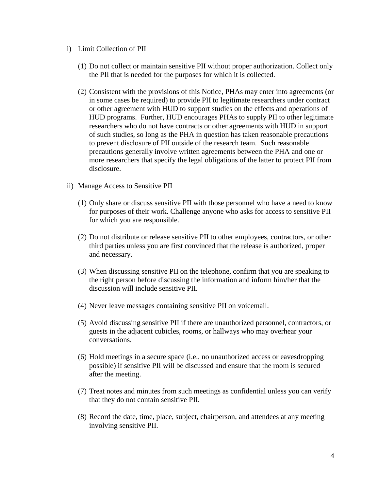- i) Limit Collection of PII
	- (1) Do not collect or maintain sensitive PII without proper authorization. Collect only the PII that is needed for the purposes for which it is collected.
	- (2) Consistent with the provisions of this Notice, PHAs may enter into agreements (or in some cases be required) to provide PII to legitimate researchers under contract or other agreement with HUD to support studies on the effects and operations of HUD programs. Further, HUD encourages PHAs to supply PII to other legitimate researchers who do not have contracts or other agreements with HUD in support of such studies, so long as the PHA in question has taken reasonable precautions to prevent disclosure of PII outside of the research team. Such reasonable precautions generally involve written agreements between the PHA and one or more researchers that specify the legal obligations of the latter to protect PII from disclosure.
- ii) Manage Access to Sensitive PII
	- (1) Only share or discuss sensitive PII with those personnel who have a need to know for purposes of their work. Challenge anyone who asks for access to sensitive PII for which you are responsible.
	- (2) Do not distribute or release sensitive PII to other employees, contractors, or other third parties unless you are first convinced that the release is authorized, proper and necessary.
	- (3) When discussing sensitive PII on the telephone, confirm that you are speaking to the right person before discussing the information and inform him/her that the discussion will include sensitive PII.
	- (4) Never leave messages containing sensitive PII on voicemail.
	- (5) Avoid discussing sensitive PII if there are unauthorized personnel, contractors, or guests in the adjacent cubicles, rooms, or hallways who may overhear your conversations.
	- (6) Hold meetings in a secure space (i.e., no unauthorized access or eavesdropping possible) if sensitive PII will be discussed and ensure that the room is secured after the meeting.
	- (7) Treat notes and minutes from such meetings as confidential unless you can verify that they do not contain sensitive PII.
	- (8) Record the date, time, place, subject, chairperson, and attendees at any meeting involving sensitive PII.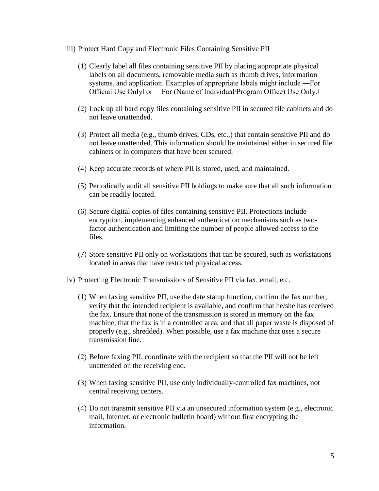- iii) Protect Hard Copy and Electronic Files Containing Sensitive PII
	- (1) Clearly label all files containing sensitive PII by placing appropriate physical labels on all documents, removable media such as thumb drives, information systems, and application. Examples of appropriate labels might include ―For Official Use Only‖ or ―For (Name of Individual/Program Office) Use Only.‖
	- (2) Lock up all hard copy files containing sensitive PII in secured file cabinets and do not leave unattended.
	- (3) Protect all media (e.g., thumb drives, CDs, etc.,) that contain sensitive PII and do not leave unattended. This information should be maintained either in secured file cabinets or in computers that have been secured.
	- (4) Keep accurate records of where PII is stored, used, and maintained.
	- (5) Periodically audit all sensitive PII holdings to make sure that all such information can be readily located.
	- (6) Secure digital copies of files containing sensitive PII. Protections include encryption, implementing enhanced authentication mechanisms such as twofactor authentication and limiting the number of people allowed access to the files.
	- (7) Store sensitive PII only on workstations that can be secured, such as workstations located in areas that have restricted physical access.
- iv) Protecting Electronic Transmissions of Sensitive PII via fax, email, etc.
	- (1) When faxing sensitive PII, use the date stamp function, confirm the fax number, verify that the intended recipient is available, and confirm that he/she has received the fax. Ensure that none of the transmission is stored in memory on the fax machine, that the fax is in a controlled area, and that all paper waste is disposed of properly (e.g., shredded). When possible, use a fax machine that uses a secure transmission line.
	- (2) Before faxing PII, coordinate with the recipient so that the PII will not be left unattended on the receiving end.
	- (3) When faxing sensitive PII, use only individually-controlled fax machines, not central receiving centers.
	- (4) Do not transmit sensitive PII via an unsecured information system (e.g., electronic mail, Internet, or electronic bulletin board) without first encrypting the information.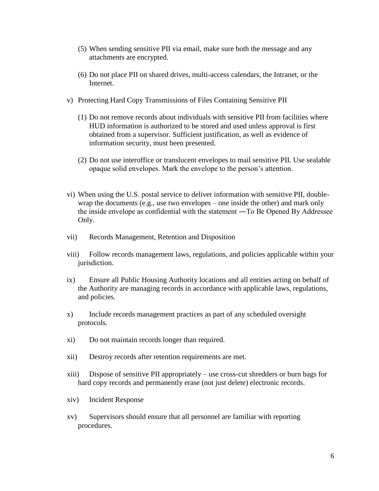- (5) When sending sensitive PII via email, make sure both the message and any attachments are encrypted.
- (6) Do not place PII on shared drives, multi-access calendars, the Intranet, or the Internet.
- v) Protecting Hard Copy Transmissions of Files Containing Sensitive PII
	- (1) Do not remove records about individuals with sensitive PII from facilities where HUD information is authorized to be stored and used unless approval is first obtained from a supervisor. Sufficient justification, as well as evidence of information security, must been presented.
	- (2) Do not use interoffice or translucent envelopes to mail sensitive PII. Use sealable opaque solid envelopes. Mark the envelope to the person's attention.
- vi) When using the U.S. postal service to deliver information with sensitive PII, doublewrap the documents (e.g., use two envelopes – one inside the other) and mark only the inside envelope as confidential with the statement ―To Be Opened By Addressee Only.
- vii) Records Management, Retention and Disposition
- viii) Follow records management laws, regulations, and policies applicable within your jurisdiction.
- ix) Ensure all Public Housing Authority locations and all entities acting on behalf of the Authority are managing records in accordance with applicable laws, regulations, and policies.
- x) Include records management practices as part of any scheduled oversight protocols.
- xi) Do not maintain records longer than required.
- xii) Destroy records after retention requirements are met.
- xiii) Dispose of sensitive PII appropriately use cross-cut shredders or burn bags for hard copy records and permanently erase (not just delete) electronic records.
- xiv) Incident Response
- xv) Supervisors should ensure that all personnel are familiar with reporting procedures.